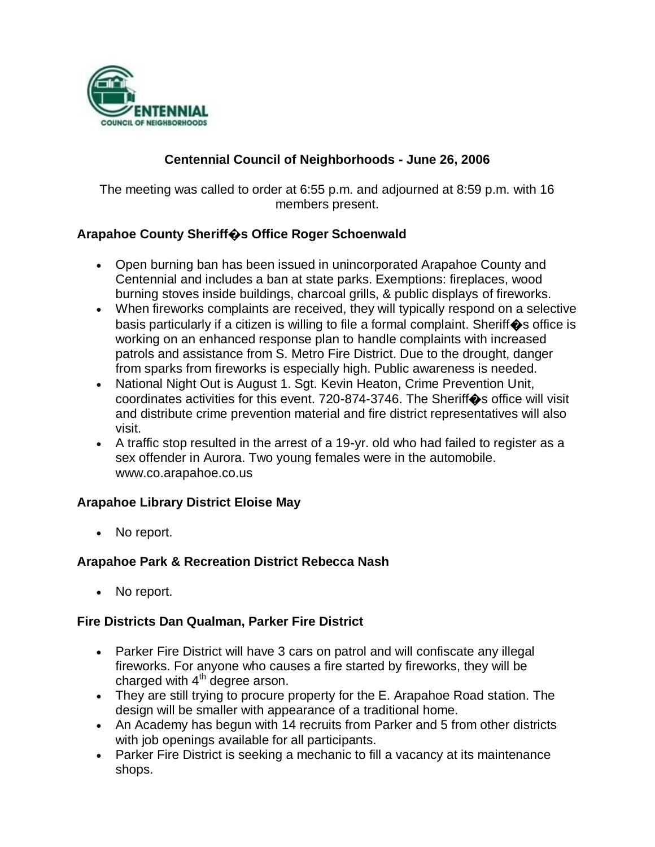

# **Centennial Council of Neighborhoods - June 26, 2006**

The meeting was called to order at 6:55 p.m. and adjourned at 8:59 p.m. with 16 members present.

## **Arapahoe County Sheriff�s Office Roger Schoenwald**

- Open burning ban has been issued in unincorporated Arapahoe County and Centennial and includes a ban at state parks. Exemptions: fireplaces, wood burning stoves inside buildings, charcoal grills, & public displays of fireworks.
- When fireworks complaints are received, they will typically respond on a selective basis particularly if a citizen is willing to file a formal complaint. Sheriff  $\bullet$ s office is working on an enhanced response plan to handle complaints with increased patrols and assistance from S. Metro Fire District. Due to the drought, danger from sparks from fireworks is especially high. Public awareness is needed.
- National Night Out is August 1. Sgt. Kevin Heaton, Crime Prevention Unit, coordinates activities for this event. 720-874-3746. The Sheriff�s office will visit and distribute crime prevention material and fire district representatives will also visit.
- A traffic stop resulted in the arrest of a 19-yr. old who had failed to register as a sex offender in Aurora. Two young females were in the automobile. www.co.arapahoe.co.us

#### **Arapahoe Library District Eloise May**

No report.

#### **Arapahoe Park & Recreation District Rebecca Nash**

No report.

#### **Fire Districts Dan Qualman, Parker Fire District**

- Parker Fire District will have 3 cars on patrol and will confiscate any illegal fireworks. For anyone who causes a fire started by fireworks, they will be charged with  $4<sup>th</sup>$  degree arson.
- They are still trying to procure property for the E. Arapahoe Road station. The design will be smaller with appearance of a traditional home.
- An Academy has begun with 14 recruits from Parker and 5 from other districts with job openings available for all participants.
- Parker Fire District is seeking a mechanic to fill a vacancy at its maintenance shops.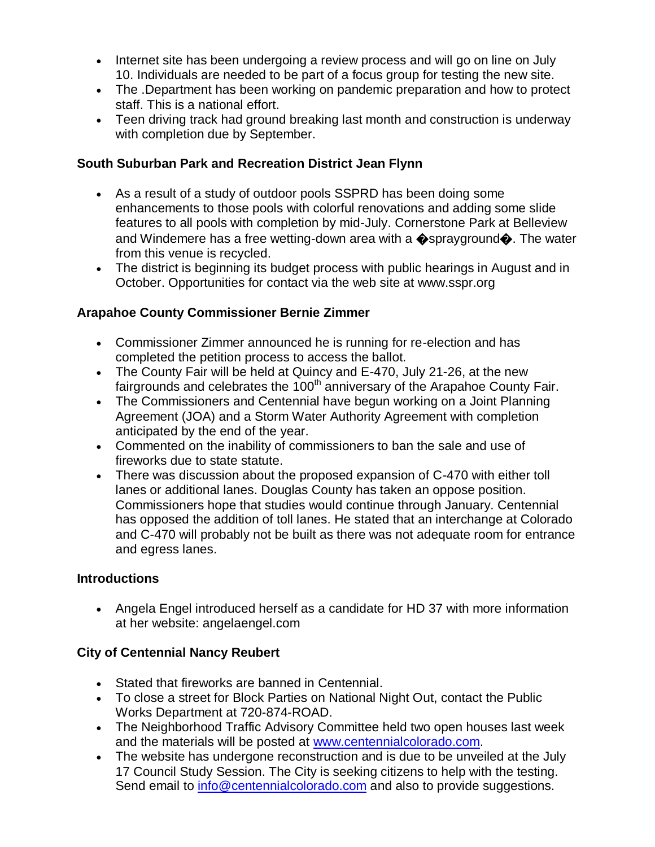- Internet site has been undergoing a review process and will go on line on July 10. Individuals are needed to be part of a focus group for testing the new site.
- The .Department has been working on pandemic preparation and how to protect staff. This is a national effort.
- Teen driving track had ground breaking last month and construction is underway with completion due by September.

## **South Suburban Park and Recreation District Jean Flynn**

- As a result of a study of outdoor pools SSPRD has been doing some enhancements to those pools with colorful renovations and adding some slide features to all pools with completion by mid-July. Cornerstone Park at Belleview and Windemere has a free wetting-down area with a  $\bullet$ sprayground $\bullet$ . The water from this venue is recycled.
- The district is beginning its budget process with public hearings in August and in October. Opportunities for contact via the web site at www.sspr.org

# **Arapahoe County Commissioner Bernie Zimmer**

- Commissioner Zimmer announced he is running for re-election and has completed the petition process to access the ballot.
- The County Fair will be held at Quincy and E-470, July 21-26, at the new fairgrounds and celebrates the  $100<sup>th</sup>$  anniversary of the Arapahoe County Fair.
- The Commissioners and Centennial have begun working on a Joint Planning Agreement (JOA) and a Storm Water Authority Agreement with completion anticipated by the end of the year.
- Commented on the inability of commissioners to ban the sale and use of fireworks due to state statute.
- There was discussion about the proposed expansion of C-470 with either toll lanes or additional lanes. Douglas County has taken an oppose position. Commissioners hope that studies would continue through January. Centennial has opposed the addition of toll lanes. He stated that an interchange at Colorado and C-470 will probably not be built as there was not adequate room for entrance and egress lanes.

## **Introductions**

 Angela Engel introduced herself as a candidate for HD 37 with more information at her website: angelaengel.com

## **City of Centennial Nancy Reubert**

- Stated that fireworks are banned in Centennial.
- To close a street for Block Parties on National Night Out, contact the Public Works Department at 720-874-ROAD.
- The Neighborhood Traffic Advisory Committee held two open houses last week and the materials will be posted at [www.centennialcolorado.com.](http://www.centennialcolorado.com/)
- The website has undergone reconstruction and is due to be unveiled at the July 17 Council Study Session. The City is seeking citizens to help with the testing. Send email to [info@centennialcolorado.com](mailto:info@centennialcolorado.com) and also to provide suggestions.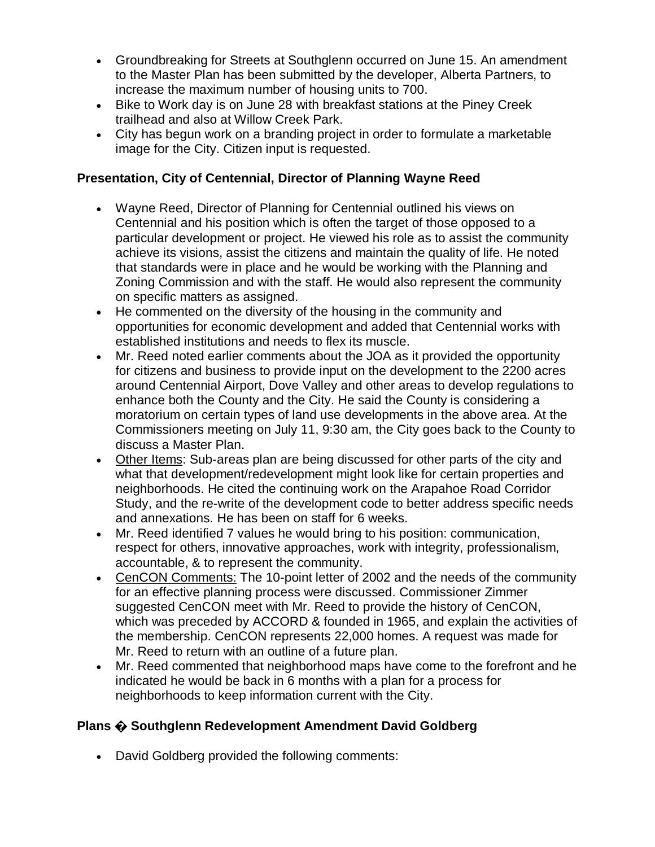- Groundbreaking for Streets at Southglenn occurred on June 15. An amendment to the Master Plan has been submitted by the developer, Alberta Partners, to increase the maximum number of housing units to 700.
- Bike to Work day is on June 28 with breakfast stations at the Piney Creek trailhead and also at Willow Creek Park.
- City has begun work on a branding project in order to formulate a marketable image for the City. Citizen input is requested.

# **Presentation, City of Centennial, Director of Planning Wayne Reed**

- Wayne Reed, Director of Planning for Centennial outlined his views on Centennial and his position which is often the target of those opposed to a particular development or project. He viewed his role as to assist the community achieve its visions, assist the citizens and maintain the quality of life. He noted that standards were in place and he would be working with the Planning and Zoning Commission and with the staff. He would also represent the community on specific matters as assigned.
- He commented on the diversity of the housing in the community and opportunities for economic development and added that Centennial works with established institutions and needs to flex its muscle.
- Mr. Reed noted earlier comments about the JOA as it provided the opportunity for citizens and business to provide input on the development to the 2200 acres around Centennial Airport, Dove Valley and other areas to develop regulations to enhance both the County and the City. He said the County is considering a moratorium on certain types of land use developments in the above area. At the Commissioners meeting on July 11, 9:30 am, the City goes back to the County to discuss a Master Plan.
- Other Items: Sub-areas plan are being discussed for other parts of the city and what that development/redevelopment might look like for certain properties and neighborhoods. He cited the continuing work on the Arapahoe Road Corridor Study, and the re-write of the development code to better address specific needs and annexations. He has been on staff for 6 weeks.
- Mr. Reed identified 7 values he would bring to his position: communication, respect for others, innovative approaches, work with integrity, professionalism, accountable, & to represent the community.
- CenCON Comments: The 10-point letter of 2002 and the needs of the community for an effective planning process were discussed. Commissioner Zimmer suggested CenCON meet with Mr. Reed to provide the history of CenCON, which was preceded by ACCORD & founded in 1965, and explain the activities of the membership. CenCON represents 22,000 homes. A request was made for Mr. Reed to return with an outline of a future plan.
- Mr. Reed commented that neighborhood maps have come to the forefront and he indicated he would be back in 6 months with a plan for a process for neighborhoods to keep information current with the City.

# **Plans � Southglenn Redevelopment Amendment David Goldberg**

David Goldberg provided the following comments: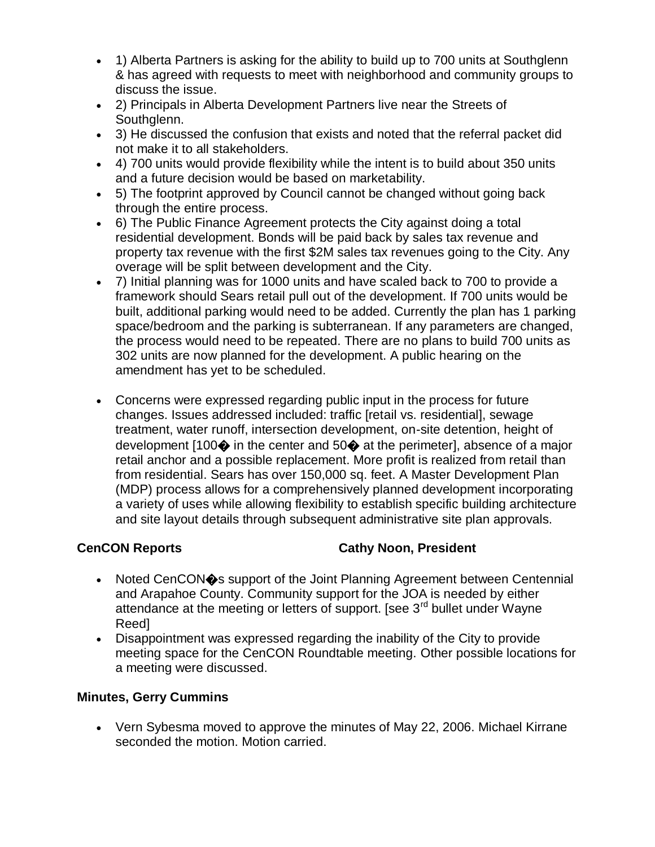- 1) Alberta Partners is asking for the ability to build up to 700 units at Southglenn & has agreed with requests to meet with neighborhood and community groups to discuss the issue.
- 2) Principals in Alberta Development Partners live near the Streets of Southglenn.
- 3) He discussed the confusion that exists and noted that the referral packet did not make it to all stakeholders.
- 4) 700 units would provide flexibility while the intent is to build about 350 units and a future decision would be based on marketability.
- 5) The footprint approved by Council cannot be changed without going back through the entire process.
- 6) The Public Finance Agreement protects the City against doing a total residential development. Bonds will be paid back by sales tax revenue and property tax revenue with the first \$2M sales tax revenues going to the City. Any overage will be split between development and the City.
- 7) Initial planning was for 1000 units and have scaled back to 700 to provide a framework should Sears retail pull out of the development. If 700 units would be built, additional parking would need to be added. Currently the plan has 1 parking space/bedroom and the parking is subterranean. If any parameters are changed, the process would need to be repeated. There are no plans to build 700 units as 302 units are now planned for the development. A public hearing on the amendment has yet to be scheduled.
- Concerns were expressed regarding public input in the process for future changes. Issues addressed included: traffic [retail vs. residential], sewage treatment, water runoff, intersection development, on-site detention, height of development  $[100\diamondsuit$  in the center and  $50\diamondsuit$  at the perimeter], absence of a major retail anchor and a possible replacement. More profit is realized from retail than from residential. Sears has over 150,000 sq. feet. A Master Development Plan (MDP) process allows for a comprehensively planned development incorporating a variety of uses while allowing flexibility to establish specific building architecture and site layout details through subsequent administrative site plan approvals.

## **CenCON Reports Cathy Noon, President**

- Noted CenCON $\diamond$ s support of the Joint Planning Agreement between Centennial and Arapahoe County. Community support for the JOA is needed by either attendance at the meeting or letters of support. [see  $3<sup>rd</sup>$  bullet under Wayne Reed]
- Disappointment was expressed regarding the inability of the City to provide meeting space for the CenCON Roundtable meeting. Other possible locations for a meeting were discussed.

## **Minutes, Gerry Cummins**

 Vern Sybesma moved to approve the minutes of May 22, 2006. Michael Kirrane seconded the motion. Motion carried.